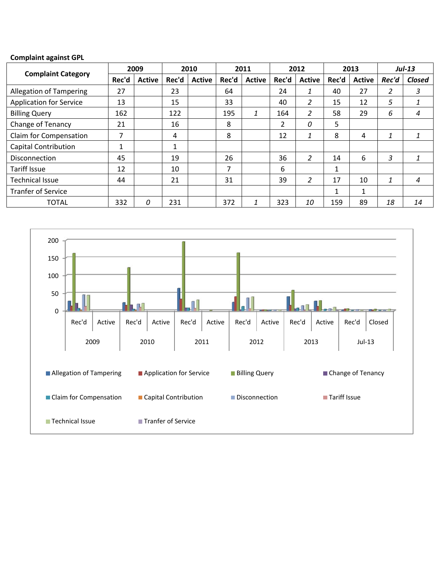## **Complaint against GPL**

| <b>Complaint Category</b>      | 2009  |               | 2010  |               | 2011  |               | 2012  |               | 2013  |               | $Jul-13$ |               |
|--------------------------------|-------|---------------|-------|---------------|-------|---------------|-------|---------------|-------|---------------|----------|---------------|
|                                | Rec'd | <b>Active</b> | Rec'd | <b>Active</b> | Rec'd | <b>Active</b> | Rec'd | <b>Active</b> | Rec'd | <b>Active</b> | Rec'd    | <b>Closed</b> |
| <b>Allegation of Tampering</b> | 27    |               | 23    |               | 64    |               | 24    | 1             | 40    | 27            | 2        | 3             |
| <b>Application for Service</b> | 13    |               | 15    |               | 33    |               | 40    | 2             | 15    | 12            | 5        | 1             |
| <b>Billing Query</b>           | 162   |               | 122   |               | 195   | 1             | 164   | 2             | 58    | 29            | 6        | 4             |
| Change of Tenancy              | 21    |               | 16    |               | 8     |               | 2     | 0             | 5     |               |          |               |
| Claim for Compensation         | 7     |               | 4     |               | 8     |               | 12    |               | 8     | 4             | 1        |               |
| <b>Capital Contribution</b>    | 1     |               | 1     |               |       |               |       |               |       |               |          |               |
| <b>Disconnection</b>           | 45    |               | 19    |               | 26    |               | 36    | 2             | 14    | 6             | 3        |               |
| <b>Tariff Issue</b>            | 12    |               | 10    |               | 7     |               | 6     |               | 1     |               |          |               |
| <b>Technical Issue</b>         | 44    |               | 21    |               | 31    |               | 39    | 2             | 17    | 10            | 1        | 4             |
| <b>Tranfer of Service</b>      |       |               |       |               |       |               |       |               | 1     | 1             |          |               |
| <b>TOTAL</b>                   | 332   | 0             | 231   |               | 372   | 1             | 323   | 10            | 159   | 89            | 18       | 14            |

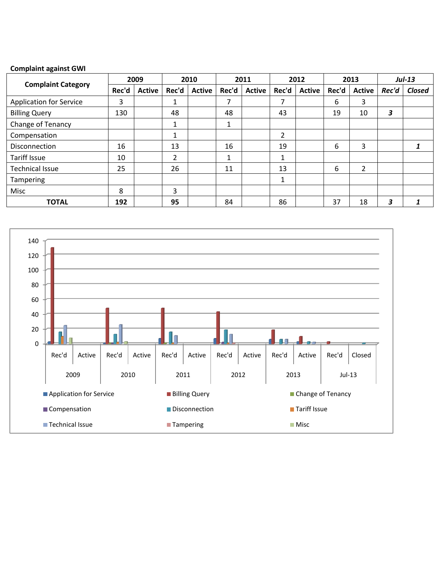## **Complaint against GWI**

|                                | 2009  |               | 2010           |               | 2011  |               | 2012  |               | 2013  |                | $Jul-13$ |        |
|--------------------------------|-------|---------------|----------------|---------------|-------|---------------|-------|---------------|-------|----------------|----------|--------|
| <b>Complaint Category</b>      | Rec'd | <b>Active</b> | Rec'd          | <b>Active</b> | Rec'd | <b>Active</b> | Rec'd | <b>Active</b> | Rec'd | <b>Active</b>  | Rec'd    | Closed |
| <b>Application for Service</b> | 3     |               | 1              |               | 7     |               | 7     |               | 6     | 3              |          |        |
| <b>Billing Query</b>           | 130   |               | 48             |               | 48    |               | 43    |               | 19    | 10             | 3        |        |
| Change of Tenancy              |       |               | 1              |               | 1     |               |       |               |       |                |          |        |
| Compensation                   |       |               | 1              |               |       |               | 2     |               |       |                |          |        |
| Disconnection                  | 16    |               | 13             |               | 16    |               | 19    |               | 6     | 3              |          |        |
| <b>Tariff Issue</b>            | 10    |               | $\overline{2}$ |               |       |               | 1     |               |       |                |          |        |
| <b>Technical Issue</b>         | 25    |               | 26             |               | 11    |               | 13    |               | 6     | $\overline{2}$ |          |        |
| Tampering                      |       |               |                |               |       |               | 1     |               |       |                |          |        |
| Misc                           | 8     |               | 3              |               |       |               |       |               |       |                |          |        |
| <b>TOTAL</b>                   | 192   |               | 95             |               | 84    |               | 86    |               | 37    | 18             | 3        |        |

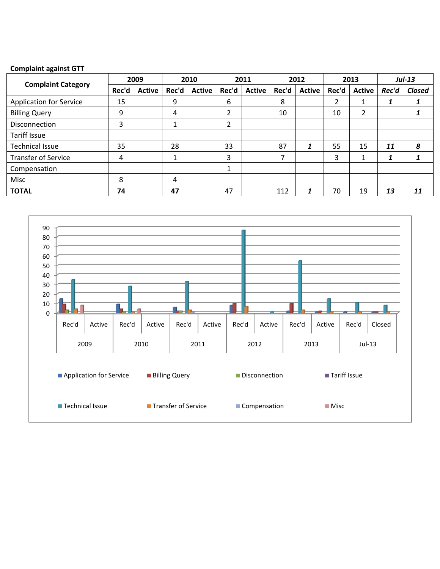## **Complaint against GTT**

|                                | 2009  |               | 2010                                                                    |               | 2011  |               | 2012  |               | 2013  |               | $Jul-13$ |        |
|--------------------------------|-------|---------------|-------------------------------------------------------------------------|---------------|-------|---------------|-------|---------------|-------|---------------|----------|--------|
| <b>Complaint Category</b>      | Rec'd | <b>Active</b> | Rec'd                                                                   | <b>Active</b> | Rec'd | <b>Active</b> | Rec'd | <b>Active</b> | Rec'd | <b>Active</b> | Rec'd    | Closed |
| <b>Application for Service</b> | 15    |               | 9                                                                       |               | 6     |               | 8     |               |       |               |          |        |
| <b>Billing Query</b>           | 9     |               | 4                                                                       |               | 2     |               | 10    |               | 10    | 2             |          |        |
| <b>Disconnection</b>           | 3     |               | 1                                                                       |               | 2     |               |       |               |       |               |          |        |
| Tariff Issue                   |       |               |                                                                         |               |       |               |       |               |       |               |          |        |
| <b>Technical Issue</b>         | 35    |               | 28                                                                      |               | 33    |               | 87    |               | 55    | 15            | 11       | 8      |
| <b>Transfer of Service</b>     | 4     |               | 1<br>$\mathbf{\mathbf{\mathbf{\mathbf{\mathbf{\mathbf{\mathbf{I}}}}}}}$ |               | 3     |               |       |               | 3     | 1             |          |        |
| Compensation                   |       |               |                                                                         |               |       |               |       |               |       |               |          |        |
| Misc                           | 8     |               | 4                                                                       |               |       |               |       |               |       |               |          |        |
| <b>TOTAL</b>                   | 74    |               | 47                                                                      |               | 47    |               | 112   |               | 70    | 19            | 13       | 11     |

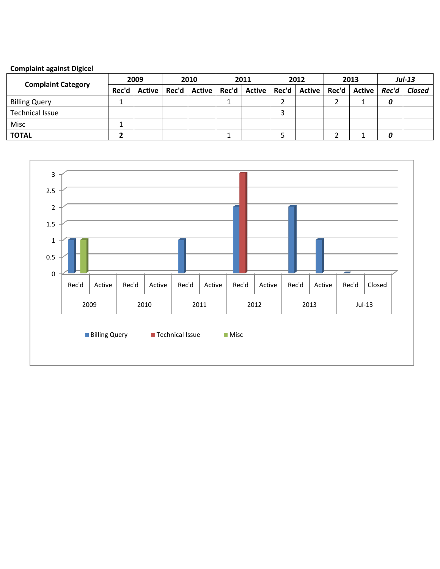# **Complaint against Digicel**

| <b>Complaint Category</b> | 2009  |               | 2010  |               | 2011  |        | 2012 |                        | 2013 |                | <b>Jul-13</b> |               |
|---------------------------|-------|---------------|-------|---------------|-------|--------|------|------------------------|------|----------------|---------------|---------------|
|                           | Rec'd | <b>Active</b> | Rec'd | <b>Active</b> | Rec'd | Active |      | Rec'd   Active   Rec'd |      | Active   Rec'd |               | <b>Closed</b> |
| <b>Billing Query</b>      |       |               |       |               |       |        |      |                        |      |                |               |               |
| <b>Technical Issue</b>    |       |               |       |               |       |        | ◠    |                        |      |                |               |               |
| Misc                      |       |               |       |               |       |        |      |                        |      |                |               |               |
| <b>TOTAL</b>              |       |               |       |               |       |        |      |                        |      |                |               |               |